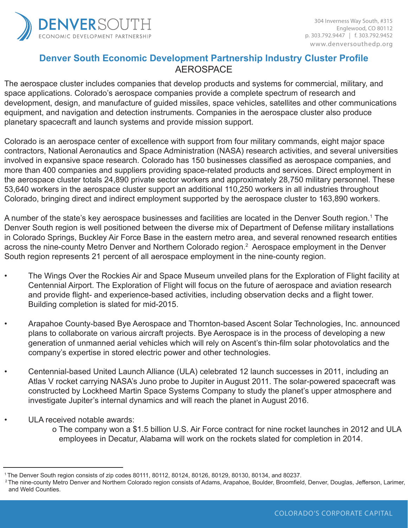

# **Denver South Economic Development Partnership Industry Cluster Profile** AEROSPACE

The aerospace cluster includes companies that develop products and systems for commercial, military, and space applications. Colorado's aerospace companies provide a complete spectrum of research and development, design, and manufacture of guided missiles, space vehicles, satellites and other communications equipment, and navigation and detection instruments. Companies in the aerospace cluster also produce planetary spacecraft and launch systems and provide mission support.

Colorado is an aerospace center of excellence with support from four military commands, eight major space contractors, National Aeronautics and Space Administration (NASA) research activities, and several universities involved in expansive space research. Colorado has 150 businesses classified as aerospace companies, and more than 400 companies and suppliers providing space-related products and services. Direct employment in the aerospace cluster totals 24,890 private sector workers and approximately 28,750 military personnel. These 53,640 workers in the aerospace cluster support an additional 110,250 workers in all industries throughout Colorado, bringing direct and indirect employment supported by the aerospace cluster to 163,890 workers.

A number of the state's key aerospace businesses and facilities are located in the Denver South region.<sup>1</sup> The Denver South region is well positioned between the diverse mix of Department of Defense military installations in Colorado Springs, Buckley Air Force Base in the eastern metro area, and several renowned research entities across the nine-county Metro Denver and Northern Colorado region.<sup>2</sup> Aerospace employment in the Denver South region represents 21 percent of all aerospace employment in the nine-county region.

- The Wings Over the Rockies Air and Space Museum unveiled plans for the Exploration of Flight facility at Centennial Airport. The Exploration of Flight will focus on the future of aerospace and aviation research and provide flight- and experience-based activities, including observation decks and a flight tower. Building completion is slated for mid-2015.
- Arapahoe County-based Bye Aerospace and Thornton-based Ascent Solar Technologies, Inc. announced plans to collaborate on various aircraft projects. Bye Aerospace is in the process of developing a new generation of unmanned aerial vehicles which will rely on Ascent's thin-film solar photovolatics and the company's expertise in stored electric power and other technologies.
- Centennial-based United Launch Alliance (ULA) celebrated 12 launch successes in 2011, including an Atlas V rocket carrying NASA's Juno probe to Jupiter in August 2011. The solar-powered spacecraft was constructed by Lockheed Martin Space Systems Company to study the planet's upper atmosphere and investigate Jupiter's internal dynamics and will reach the planet in August 2016.
- ULA received notable awards:
	- o The company won a \$1.5 billion U.S. Air Force contract for nine rocket launches in 2012 and ULA employees in Decatur, Alabama will work on the rockets slated for completion in 2014.

1 The Denver South region consists of zip codes 80111, 80112, 80124, 80126, 80129, 80130, 80134, and 80237.

<sup>&</sup>lt;sup>2</sup> The nine-county Metro Denver and Northern Colorado region consists of Adams, Arapahoe, Boulder, Broomfield, Denver, Douglas, Jefferson, Larimer, and Weld Counties.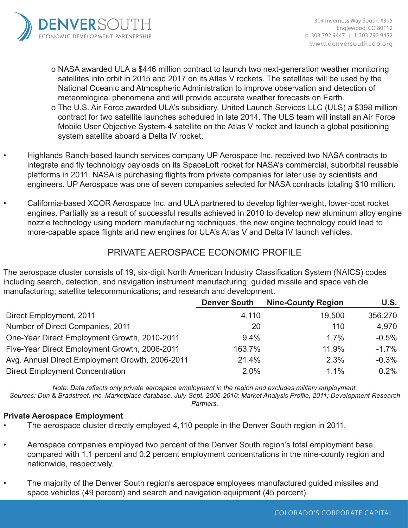

- o NASA awarded ULA a \$446 million contract to launch two next-generation weather monitoring satellites into orbit in 2015 and 2017 on its Atlas V rockets. The satellites will be used by the National Oceanic and Atmospheric Administration to improve observation and detection of meteorological phenomena and will provide accurate weather forecasts on Earth.
- o The U.S. Air Force awarded ULA's subsidiary, United Launch Services LLC (ULS) a \$398 million contract for two satellite launches scheduled in late 2014. The ULS team will install an Air Force Mobile User Objective System-4 satellite on the Atlas V rocket and launch a global positioning system satellite aboard a Delta IV rocket.
- Highlands Ranch-based launch services company UP Aerospace Inc. received two NASA contracts to integrate and fly technology payloads on its SpaceLoft rocket for NASA's commercial, suborbital reusable platforms in 2011. NASA is purchasing flights from private companies for later use by scientists and engineers. UP Aerospace was one of seven companies selected for NASA contracts totaling \$10 million.
- California-based XCOR Aerospace Inc. and ULA partnered to develop lighter-weight, lower-cost rocket engines. Partially as a result of successful results achieved in 2010 to develop new aluminum alloy engine nozzle technology using modern manufacturing techniques, the new engine technology could lead to more-capable space flights and new engines for ULA's Atlas V and Delta IV launch vehicles.

## PRIVATE AEROSPACE ECONOMIC PROFILE

The aerospace cluster consists of 19, six-digit North American Industry Classification System (NAICS) codes including search, detection, and navigation instrument manufacturing; guided missile and space vehicle manufacturing; satellite telecommunications; and research and development.

|                                                 | <b>Denver South</b> | <b>Nine-County Region</b> | U.S.     |
|-------------------------------------------------|---------------------|---------------------------|----------|
| Direct Employment, 2011                         | 4,110               | 19,500                    | 356,270  |
| Number of Direct Companies, 2011                | 20                  | 110                       | 4.970    |
| One-Year Direct Employment Growth, 2010-2011    | $9.4\%$             | 1.7%                      | $-0.5%$  |
| Five-Year Direct Employment Growth, 2006-2011   | 163.7%              | 11.9%                     | $-1.7\%$ |
| Avg. Annual Direct Employment Growth, 2006-2011 | 21.4%               | 2.3%                      | $-0.3%$  |
| <b>Direct Employment Concentration</b>          | 2.0%                | 1.1%                      | 0.2%     |

*Note: Data reflects only private aerospace employment in the region and excludes military employment. Sources: Dun & Bradstreet, Inc. Marketplace database, July-Sept. 2006-2010; Market Analysis Profile, 2011; Development Research* 

*Partners.* 

## **Private Aerospace Employment**

- The aerospace cluster directly employed 4,110 people in the Denver South region in 2011.
- Aerospace companies employed two percent of the Denver South region's total employment base, compared with 1.1 percent and 0.2 percent employment concentrations in the nine-county region and nationwide, respectively.
- The majority of the Denver South region's aerospace employees manufactured guided missiles and space vehicles (49 percent) and search and navigation equipment (45 percent).